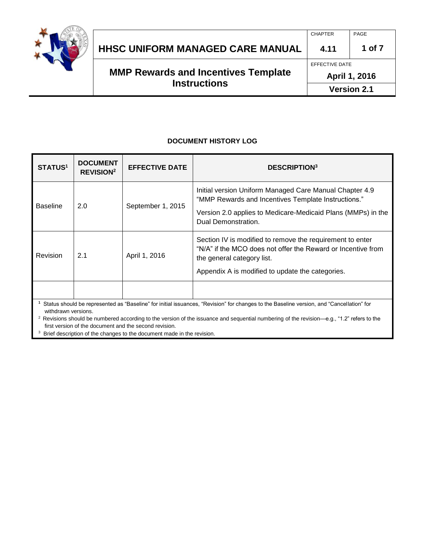

|                                            | <b>CHAPTER</b>     | PAGE   |
|--------------------------------------------|--------------------|--------|
| HHSC UNIFORM MANAGED CARE MANUAL           | 4.11               | 1 of 7 |
|                                            | EFFECTIVE DATE     |        |
| <b>MMP Rewards and Incentives Template</b> | April 1, 2016      |        |
| <b>Instructions</b>                        | <b>Version 2.1</b> |        |

#### **DOCUMENT HISTORY LOG**

| <b>STATUS<sup>1</sup></b>                                                                                                                                                                                                                                                                                                | <b>DOCUMENT</b><br><b>REVISION<sup>2</sup></b>     | <b>EFFECTIVE DATE</b> | <b>DESCRIPTION</b> <sup>3</sup>                                                                                                                                                                       |
|--------------------------------------------------------------------------------------------------------------------------------------------------------------------------------------------------------------------------------------------------------------------------------------------------------------------------|----------------------------------------------------|-----------------------|-------------------------------------------------------------------------------------------------------------------------------------------------------------------------------------------------------|
| <b>Baseline</b>                                                                                                                                                                                                                                                                                                          | 2.0                                                | September 1, 2015     | Initial version Uniform Managed Care Manual Chapter 4.9<br>"MMP Rewards and Incentives Template Instructions."<br>Version 2.0 applies to Medicare-Medicaid Plans (MMPs) in the<br>Dual Demonstration. |
| <b>Revision</b>                                                                                                                                                                                                                                                                                                          | 2.1<br>April 1, 2016<br>the general category list. |                       | Section IV is modified to remove the requirement to enter<br>"N/A" if the MCO does not offer the Reward or Incentive from<br>Appendix A is modified to update the categories.                         |
| Status should be represented as "Baseline" for initial issuances, "Revision" for changes to the Baseline version, and "Cancellation" for<br>withdrawn versions.<br><sup>2</sup> Revisions should be numbered according to the version of the issuance and sequential numbering of the revision—e.g., "1.2" refers to the |                                                    |                       |                                                                                                                                                                                                       |

first version of the document and the second revision.

<sup>3</sup> Brief description of the changes to the document made in the revision.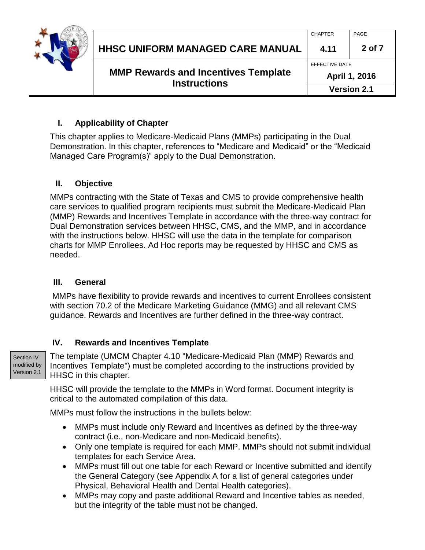

| <b>MMP Rewards and Incentives Template</b> | April 1, 2016  |        |
|--------------------------------------------|----------------|--------|
|                                            | EFFECTIVE DATE |        |
| HHSC UNIFORM MANAGED CARE MANUAL           | 4.11           | 2 of 7 |
|                                            | <b>CHAPTER</b> | PAGE   |

## **I. Applicability of Chapter**

This chapter applies to Medicare-Medicaid Plans (MMPs) participating in the Dual Demonstration. In this chapter, references to "Medicare and Medicaid" or the "Medicaid Managed Care Program(s)" apply to the Dual Demonstration.

#### **II. Objective**

MMPs contracting with the State of Texas and CMS to provide comprehensive health care services to qualified program recipients must submit the Medicare-Medicaid Plan (MMP) Rewards and Incentives Template in accordance with the three-way contract for Dual Demonstration services between HHSC, CMS, and the MMP, and in accordance with the instructions below. HHSC will use the data in the template for comparison charts for MMP Enrollees. Ad Hoc reports may be requested by HHSC and CMS as needed.

#### **III. General**

MMPs have flexibility to provide rewards and incentives to current Enrollees consistent with section 70.2 of the Medicare Marketing Guidance (MMG) and all relevant CMS guidance. Rewards and Incentives are further defined in the three-way contract.

### **IV. Rewards and Incentives Template**

Section IV modified by Version 2.1

The template (UMCM Chapter 4.10 "Medicare-Medicaid Plan (MMP) Rewards and Incentives Template") must be completed according to the instructions provided by HHSC in this chapter.

HHSC will provide the template to the MMPs in Word format. Document integrity is critical to the automated compilation of this data.

MMPs must follow the instructions in the bullets below:

- MMPs must include only Reward and Incentives as defined by the three-way contract (i.e., non-Medicare and non-Medicaid benefits).
- Only one template is required for each MMP. MMPs should not submit individual templates for each Service Area.
- MMPs must fill out one table for each Reward or Incentive submitted and identify the General Category (see Appendix A for a list of general categories under Physical, Behavioral Health and Dental Health categories).
- MMPs may copy and paste additional Reward and Incentive tables as needed, but the integrity of the table must not be changed.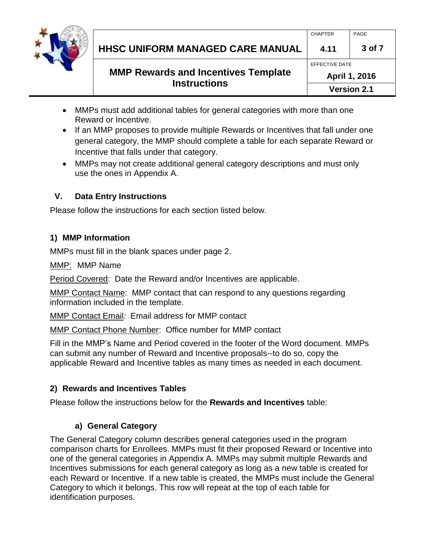

|                     |                                            | <b>CHAPTER</b> | PAGE   |
|---------------------|--------------------------------------------|----------------|--------|
|                     | <b>HHSC UNIFORM MANAGED CARE MANUAL</b>    | 4.11           | 3 of 7 |
|                     |                                            | EFFECTIVE DATE |        |
|                     | <b>MMP Rewards and Incentives Template</b> | April 1, 2016  |        |
| <b>Instructions</b> | <b>Version 2.1</b>                         |                |        |

- MMPs must add additional tables for general categories with more than one Reward or Incentive.
- If an MMP proposes to provide multiple Rewards or Incentives that fall under one general category, the MMP should complete a table for each separate Reward or Incentive that falls under that category.
- MMPs may not create additional general category descriptions and must only use the ones in Appendix A.

# **V. Data Entry Instructions**

Please follow the instructions for each section listed below.

# **1) MMP Information**

MMPs must fill in the blank spaces under page 2.

MMP: MMP Name

Period Covered: Date the Reward and/or Incentives are applicable.

**MMP Contact Name: MMP contact that can respond to any questions regarding** information included in the template.

MMP Contact Email*:* Email address for MMP contact

MMP Contact Phone Number: Office number for MMP contact

Fill in the MMP's Name and Period covered in the footer of the Word document. MMPs can submit any number of Reward and Incentive proposals--to do so, copy the applicable Reward and Incentive tables as many times as needed in each document.

# **2) Rewards and Incentives Tables**

Please follow the instructions below for the **Rewards and Incentives** table:

# **a) General Category**

The General Category column describes general categories used in the program comparison charts for Enrollees. MMPs must fit their proposed Reward or Incentive into one of the general categories in Appendix A. MMPs may submit multiple Rewards and Incentives submissions for each general category as long as a new table is created for each Reward or Incentive. If a new table is created, the MMPs must include the General Category to which it belongs. This row will repeat at the top of each table for identification purposes.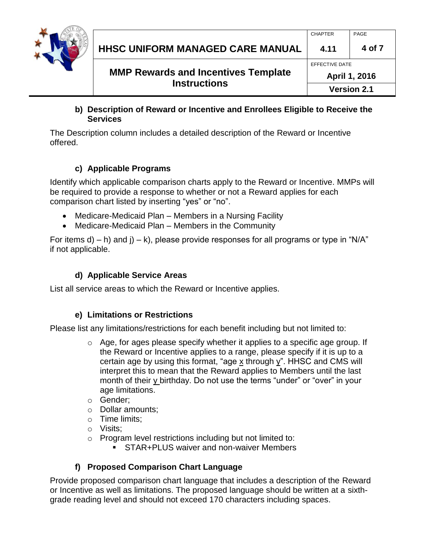

### **b) Description of Reward or Incentive and Enrollees Eligible to Receive the Services**

The Description column includes a detailed description of the Reward or Incentive offered.

# **c) Applicable Programs**

Identify which applicable comparison charts apply to the Reward or Incentive. MMPs will be required to provide a response to whether or not a Reward applies for each comparison chart listed by inserting "yes" or "no".

- Medicare-Medicaid Plan Members in a Nursing Facility
- Medicare-Medicaid Plan Members in the Community

For items d) – h) and j) – k), please provide responses for all programs or type in "N/A" if not applicable.

# **d) Applicable Service Areas**

List all service areas to which the Reward or Incentive applies.

# **e) Limitations or Restrictions**

Please list any limitations/restrictions for each benefit including but not limited to:

- $\circ$  Age, for ages please specify whether it applies to a specific age group. If the Reward or Incentive applies to a range, please specify if it is up to a certain age by using this format, "age x through y". HHSC and CMS will interpret this to mean that the Reward applies to Members until the last month of their y birthday. Do not use the terms "under" or "over" in your age limitations.
- o Gender;
- o Dollar amounts;
- o Time limits;
- o Visits;
- o Program level restrictions including but not limited to:
	- **STAR+PLUS waiver and non-waiver Members**

# **f) Proposed Comparison Chart Language**

Provide proposed comparison chart language that includes a description of the Reward or Incentive as well as limitations. The proposed language should be written at a sixthgrade reading level and should not exceed 170 characters including spaces.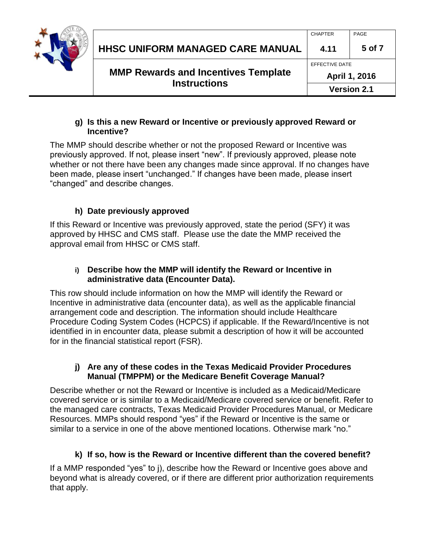

### **g) Is this a new Reward or Incentive or previously approved Reward or Incentive?**

The MMP should describe whether or not the proposed Reward or Incentive was previously approved. If not, please insert "new". If previously approved, please note whether or not there have been any changes made since approval. If no changes have been made, please insert "unchanged." If changes have been made, please insert "changed" and describe changes.

# **h) Date previously approved**

If this Reward or Incentive was previously approved, state the period (SFY) it was approved by HHSC and CMS staff. Please use the date the MMP received the approval email from HHSC or CMS staff.

### **i) Describe how the MMP will identify the Reward or Incentive in administrative data (Encounter Data).**

This row should include information on how the MMP will identify the Reward or Incentive in administrative data (encounter data), as well as the applicable financial arrangement code and description. The information should include Healthcare Procedure Coding System Codes (HCPCS) if applicable. If the Reward/Incentive is not identified in in encounter data, please submit a description of how it will be accounted for in the financial statistical report (FSR).

## **j) Are any of these codes in the Texas Medicaid Provider Procedures Manual (TMPPM) or the Medicare Benefit Coverage Manual?**

Describe whether or not the Reward or Incentive is included as a Medicaid/Medicare covered service or is similar to a Medicaid/Medicare covered service or benefit. Refer to the managed care contracts, Texas Medicaid Provider Procedures Manual, or Medicare Resources. MMPs should respond "yes" if the Reward or Incentive is the same or similar to a service in one of the above mentioned locations. Otherwise mark "no."

# **k) If so, how is the Reward or Incentive different than the covered benefit?**

If a MMP responded "yes" to j), describe how the Reward or Incentive goes above and beyond what is already covered, or if there are different prior authorization requirements that apply.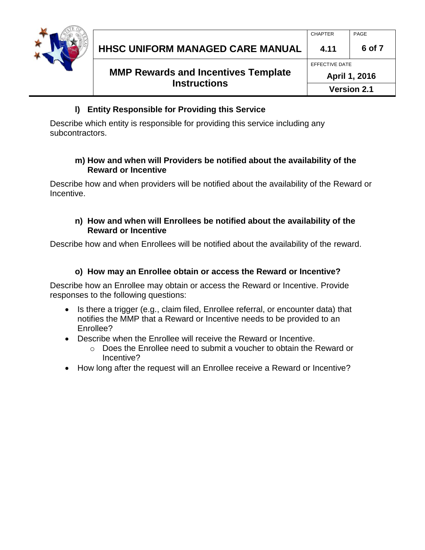

### **l) Entity Responsible for Providing this Service**

Describe which entity is responsible for providing this service including any subcontractors.

#### **m) How and when will Providers be notified about the availability of the Reward or Incentive**

Describe how and when providers will be notified about the availability of the Reward or Incentive.

### **n) How and when will Enrollees be notified about the availability of the Reward or Incentive**

Describe how and when Enrollees will be notified about the availability of the reward.

# **o) How may an Enrollee obtain or access the Reward or Incentive?**

Describe how an Enrollee may obtain or access the Reward or Incentive. Provide responses to the following questions:

- Is there a trigger (e.g., claim filed, Enrollee referral, or encounter data) that notifies the MMP that a Reward or Incentive needs to be provided to an Enrollee?
- Describe when the Enrollee will receive the Reward or Incentive.
	- $\circ$  Does the Enrollee need to submit a voucher to obtain the Reward or Incentive?
- How long after the request will an Enrollee receive a Reward or Incentive?